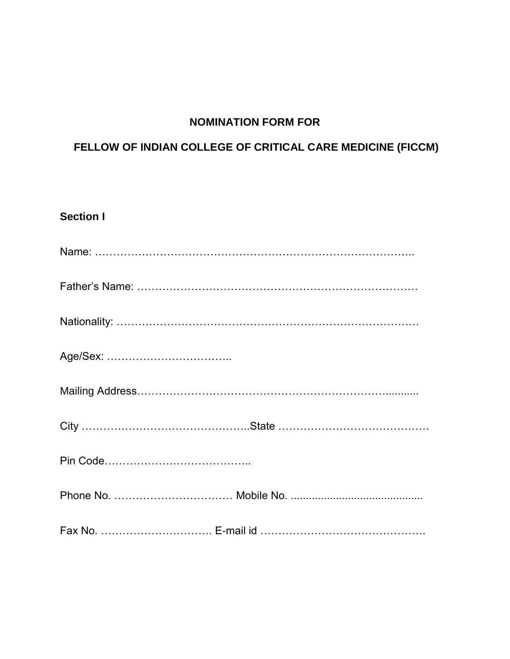## **NOMINATION FORM FOR**

#### **FELLOW OF INDIAN COLLEGE OF CRITICAL CARE MEDICINE (FICCM)**

# **Section I** Name: …………………………………………………………………………….. Father's Name: …………………………………………………………………… Nationality: ………………………………………………………………………… Age/Sex: …………………………….. Mailing Address……………………………………………………………........... City ………………………………………..State …………………………………… Pin Code………………………………….. Phone No. …………………………… Mobile No. ............................................ Fax No. …………………………. E-mail id ……………………………………….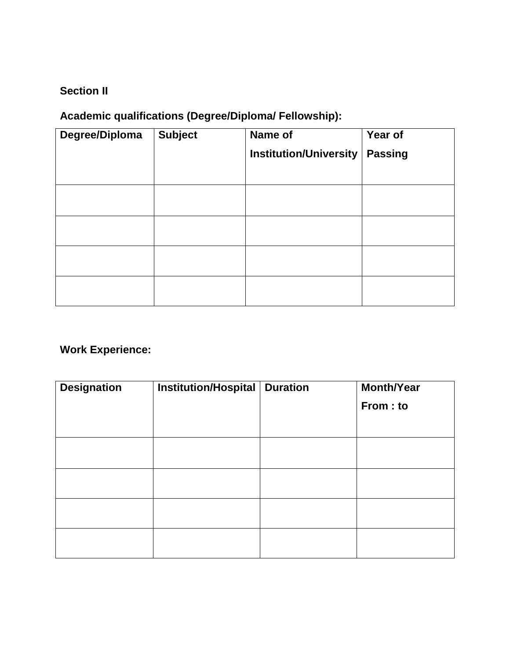## **Section II**

## **Academic qualifications (Degree/Diploma/ Fellowship):**

| Degree/Diploma | <b>Subject</b> | Name of                       | Year of        |
|----------------|----------------|-------------------------------|----------------|
|                |                | <b>Institution/University</b> | <b>Passing</b> |
|                |                |                               |                |
|                |                |                               |                |
|                |                |                               |                |
|                |                |                               |                |
|                |                |                               |                |
|                |                |                               |                |

# **Work Experience:**

| <b>Designation</b> | Institution/Hospital | <b>Duration</b> | <b>Month/Year</b><br>From: to |
|--------------------|----------------------|-----------------|-------------------------------|
|                    |                      |                 |                               |
|                    |                      |                 |                               |
|                    |                      |                 |                               |
|                    |                      |                 |                               |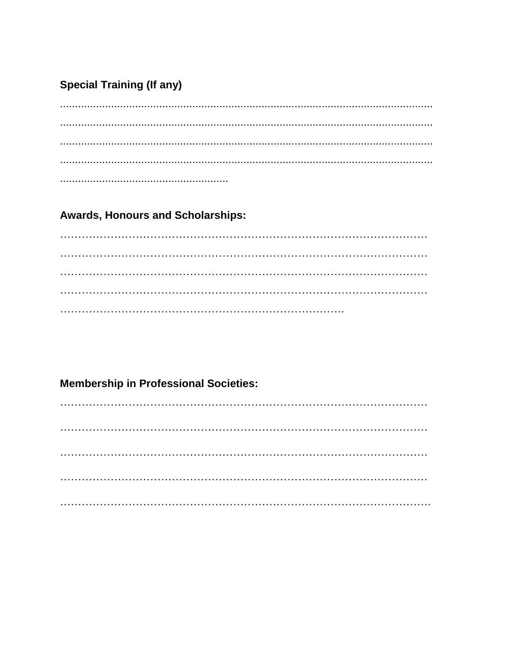## **Special Training (If any)**

#### **Awards, Honours and Scholarships:**

### **Membership in Professional Societies:**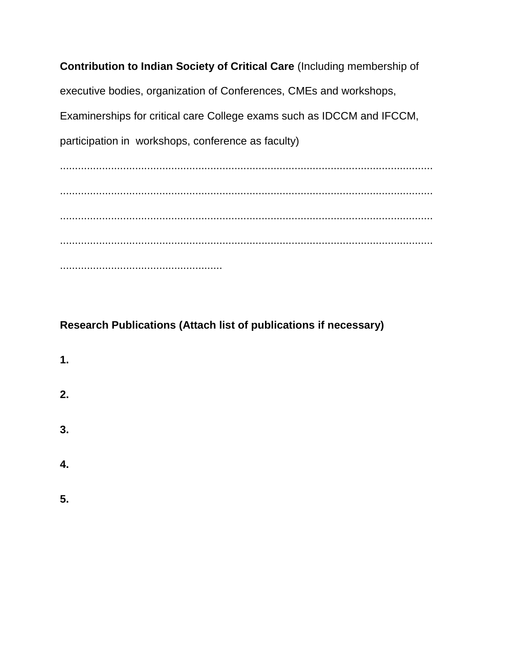**Contribution to Indian Society of Critical Care** (Including membership of executive bodies, organization of Conferences, CMEs and workshops, Examinerships for critical care College exams such as IDCCM and IFCCM, participation in workshops, conference as faculty) ............................................................................................................................ ............................................................................................................................

............................................................................................................................ ............................................................................................................................ ......................................................

## **Research Publications (Attach list of publications if necessary)**

- **1. 2. 3. 4.**
- **5.**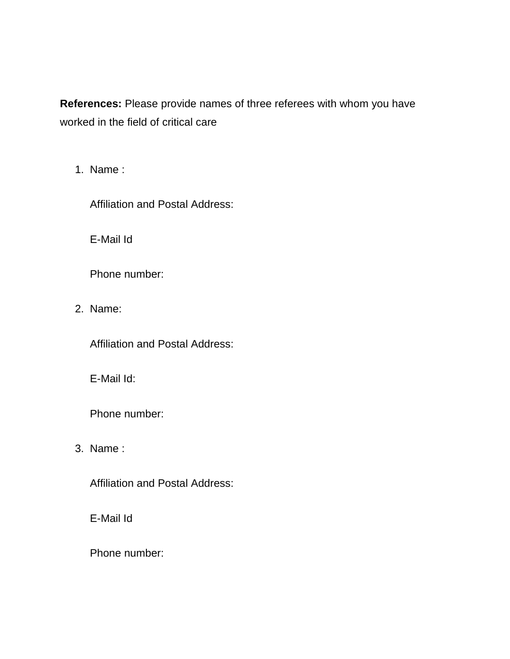**References:** Please provide names of three referees with whom you have worked in the field of critical care

1. Name :

Affiliation and Postal Address:

E-Mail Id

Phone number:

2. Name:

Affiliation and Postal Address:

E-Mail Id:

Phone number:

3. Name :

Affiliation and Postal Address:

E-Mail Id

Phone number: